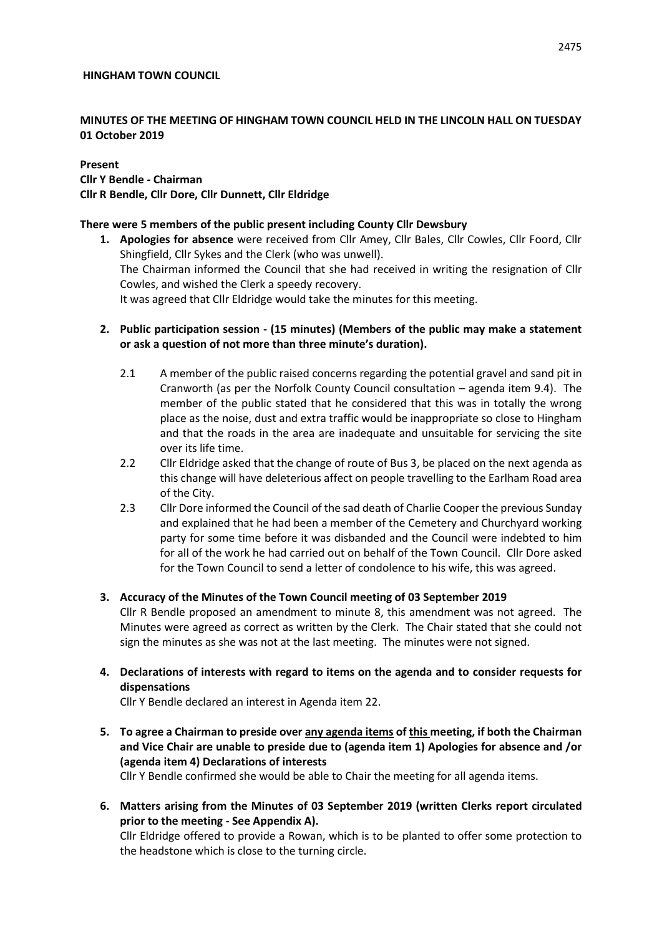#### **HINGHAM TOWN COUNCIL**

#### **MINUTES OF THE MEETING OF HINGHAM TOWN COUNCIL HELD IN THE LINCOLN HALL ON TUESDAY 01 October 2019**

#### **Present Cllr Y Bendle - Chairman Cllr R Bendle, Cllr Dore, Cllr Dunnett, Cllr Eldridge**

#### **There were 5 members of the public present including County Cllr Dewsbury**

- **1. Apologies for absence** were received from Cllr Amey, Cllr Bales, Cllr Cowles, Cllr Foord, Cllr Shingfield, Cllr Sykes and the Clerk (who was unwell). The Chairman informed the Council that she had received in writing the resignation of Cllr Cowles, and wished the Clerk a speedy recovery. It was agreed that Cllr Eldridge would take the minutes for this meeting.
- **2. Public participation session - (15 minutes) (Members of the public may make a statement or ask a question of not more than three minute's duration).**
	- 2.1 A member of the public raised concerns regarding the potential gravel and sand pit in Cranworth (as per the Norfolk County Council consultation – agenda item 9.4). The member of the public stated that he considered that this was in totally the wrong place as the noise, dust and extra traffic would be inappropriate so close to Hingham and that the roads in the area are inadequate and unsuitable for servicing the site over its life time.
	- 2.2 Cllr Eldridge asked that the change of route of Bus 3, be placed on the next agenda as this change will have deleterious affect on people travelling to the Earlham Road area of the City.
	- 2.3 Cllr Dore informed the Council of the sad death of Charlie Cooper the previous Sunday and explained that he had been a member of the Cemetery and Churchyard working party for some time before it was disbanded and the Council were indebted to him for all of the work he had carried out on behalf of the Town Council. Cllr Dore asked for the Town Council to send a letter of condolence to his wife, this was agreed.

#### **3. Accuracy of the Minutes of the Town Council meeting of 03 September 2019**

Cllr R Bendle proposed an amendment to minute 8, this amendment was not agreed. The Minutes were agreed as correct as written by the Clerk. The Chair stated that she could not sign the minutes as she was not at the last meeting. The minutes were not signed.

**4. Declarations of interests with regard to items on the agenda and to consider requests for dispensations**

Cllr Y Bendle declared an interest in Agenda item 22.

**5. To agree a Chairman to preside over any agenda items of this meeting, if both the Chairman and Vice Chair are unable to preside due to (agenda item 1) Apologies for absence and /or (agenda item 4) Declarations of interests**

Cllr Y Bendle confirmed she would be able to Chair the meeting for all agenda items.

**6. Matters arising from the Minutes of 03 September 2019 (written Clerks report circulated prior to the meeting - See Appendix A).**

Cllr Eldridge offered to provide a Rowan, which is to be planted to offer some protection to the headstone which is close to the turning circle.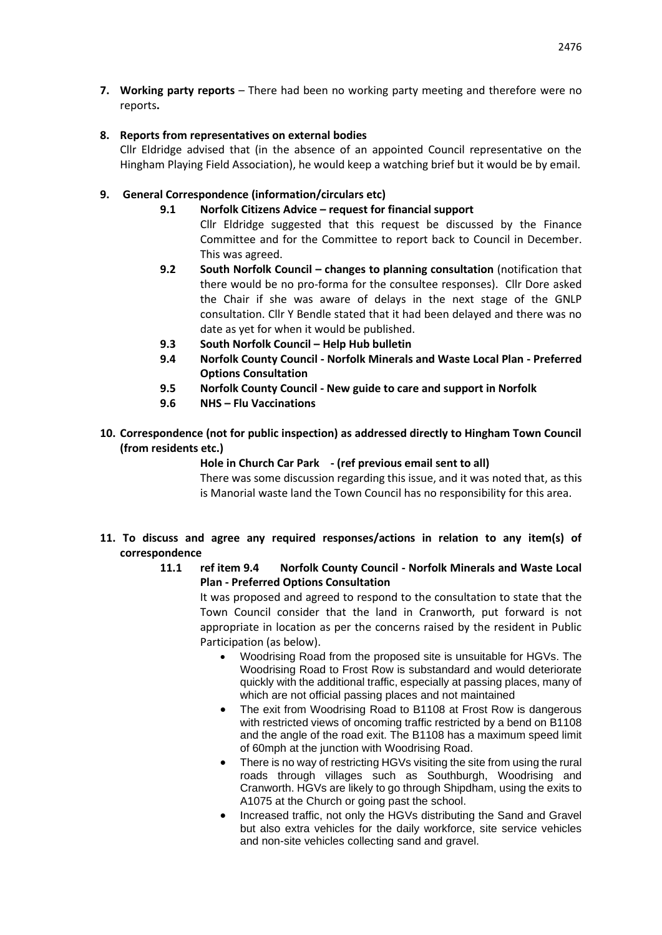**7. Working party reports** – There had been no working party meeting and therefore were no reports**.**

#### **8. Reports from representatives on external bodies**

Cllr Eldridge advised that (in the absence of an appointed Council representative on the Hingham Playing Field Association), he would keep a watching brief but it would be by email.

# **9. General Correspondence (information/circulars etc)**

- **9.1 Norfolk Citizens Advice – request for financial support**
	- Cllr Eldridge suggested that this request be discussed by the Finance Committee and for the Committee to report back to Council in December. This was agreed.
- **9.2 South Norfolk Council – changes to planning consultation** (notification that there would be no pro-forma for the consultee responses). Cllr Dore asked the Chair if she was aware of delays in the next stage of the GNLP consultation. Cllr Y Bendle stated that it had been delayed and there was no date as yet for when it would be published.
- **9.3 South Norfolk Council – Help Hub bulletin**
- **9.4 Norfolk County Council - Norfolk Minerals and Waste Local Plan - Preferred Options Consultation**
- **9.5 Norfolk County Council - New guide to care and support in Norfolk**
- **9.6 NHS – Flu Vaccinations**
- **10. Correspondence (not for public inspection) as addressed directly to Hingham Town Council (from residents etc.)**

# **Hole in Church Car Park - (ref previous email sent to all)**

There was some discussion regarding this issue, and it was noted that, as this is Manorial waste land the Town Council has no responsibility for this area.

#### **11. To discuss and agree any required responses/actions in relation to any item(s) of correspondence**

**11.1 ref item 9.4 Norfolk County Council - Norfolk Minerals and Waste Local Plan - Preferred Options Consultation**

It was proposed and agreed to respond to the consultation to state that the Town Council consider that the land in Cranworth, put forward is not appropriate in location as per the concerns raised by the resident in Public Participation (as below).

- Woodrising Road from the proposed site is unsuitable for HGVs. The Woodrising Road to Frost Row is substandard and would deteriorate quickly with the additional traffic, especially at passing places, many of which are not official passing places and not maintained
- The exit from Woodrising Road to B1108 at Frost Row is dangerous with restricted views of oncoming traffic restricted by a bend on B1108 and the angle of the road exit. The B1108 has a maximum speed limit of 60mph at the junction with Woodrising Road.
- There is no way of restricting HGVs visiting the site from using the rural roads through villages such as Southburgh, Woodrising and Cranworth. HGVs are likely to go through Shipdham, using the exits to A1075 at the Church or going past the school.
- Increased traffic, not only the HGVs distributing the Sand and Gravel but also extra vehicles for the daily workforce, site service vehicles and non-site vehicles collecting sand and gravel.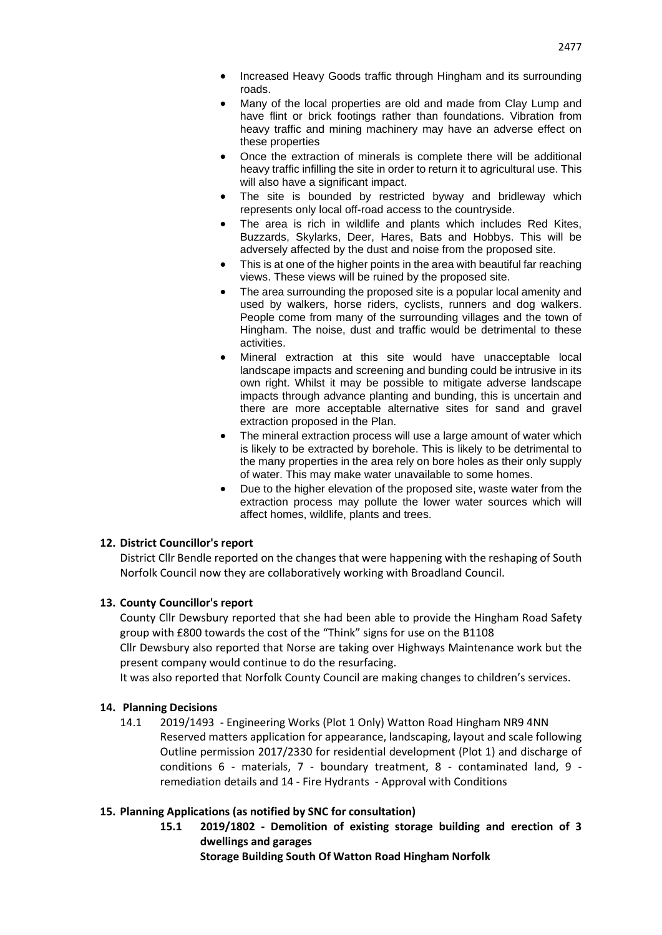- Increased Heavy Goods traffic through Hingham and its surrounding roads.
- Many of the local properties are old and made from Clay Lump and have flint or brick footings rather than foundations. Vibration from heavy traffic and mining machinery may have an adverse effect on these properties
- Once the extraction of minerals is complete there will be additional heavy traffic infilling the site in order to return it to agricultural use. This will also have a significant impact.
- The site is bounded by restricted byway and bridleway which represents only local off-road access to the countryside.
- The area is rich in wildlife and plants which includes Red Kites, Buzzards, Skylarks, Deer, Hares, Bats and Hobbys. This will be adversely affected by the dust and noise from the proposed site.
- This is at one of the higher points in the area with beautiful far reaching views. These views will be ruined by the proposed site.
- The area surrounding the proposed site is a popular local amenity and used by walkers, horse riders, cyclists, runners and dog walkers. People come from many of the surrounding villages and the town of Hingham. The noise, dust and traffic would be detrimental to these activities.
- Mineral extraction at this site would have unacceptable local landscape impacts and screening and bunding could be intrusive in its own right. Whilst it may be possible to mitigate adverse landscape impacts through advance planting and bunding, this is uncertain and there are more acceptable alternative sites for sand and gravel extraction proposed in the Plan.
- The mineral extraction process will use a large amount of water which is likely to be extracted by borehole. This is likely to be detrimental to the many properties in the area rely on bore holes as their only supply of water. This may make water unavailable to some homes.
- Due to the higher elevation of the proposed site, waste water from the extraction process may pollute the lower water sources which will affect homes, wildlife, plants and trees.

#### **12. District Councillor's report**

District Cllr Bendle reported on the changes that were happening with the reshaping of South Norfolk Council now they are collaboratively working with Broadland Council.

#### **13. County Councillor's report**

County Cllr Dewsbury reported that she had been able to provide the Hingham Road Safety group with £800 towards the cost of the "Think" signs for use on the B1108

Cllr Dewsbury also reported that Norse are taking over Highways Maintenance work but the present company would continue to do the resurfacing.

It was also reported that Norfolk County Council are making changes to children's services.

#### **14. Planning Decisions**

14.1 2019/1493 - Engineering Works (Plot 1 Only) Watton Road Hingham NR9 4NN Reserved matters application for appearance, landscaping, layout and scale following Outline permission 2017/2330 for residential development (Plot 1) and discharge of conditions 6 - materials, 7 - boundary treatment, 8 - contaminated land, 9 remediation details and 14 - Fire Hydrants - Approval with Conditions

# **15. Planning Applications (as notified by SNC for consultation)**

**15.1 2019/1802 - Demolition of existing storage building and erection of 3 dwellings and garages Storage Building South Of Watton Road Hingham Norfolk**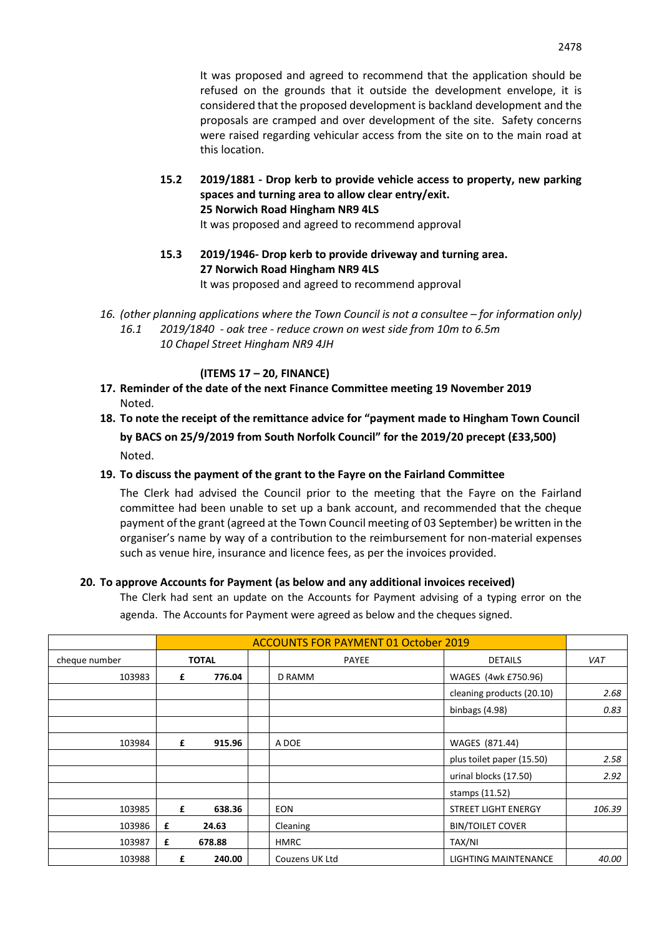**15.2 2019/1881 - Drop kerb to provide vehicle access to property, new parking spaces and turning area to allow clear entry/exit. 25 Norwich Road Hingham NR9 4LS** 

It was proposed and agreed to recommend approval

- **15.3 2019/1946- Drop kerb to provide driveway and turning area. 27 Norwich Road Hingham NR9 4LS**  It was proposed and agreed to recommend approval
- 16. *(other planning applications where the Town Council is not a consultee for information only) 16.1 2019/1840 - oak tree - reduce crown on west side from 10m to 6.5m 10 Chapel Street Hingham NR9 4JH*

# **(ITEMS 17 – 20, FINANCE)**

- **17. Reminder of the date of the next Finance Committee meeting 19 November 2019** Noted.
- **18. To note the receipt of the remittance advice for "payment made to Hingham Town Council by BACS on 25/9/2019 from South Norfolk Council" for the 2019/20 precept (£33,500)** Noted.

# **19. To discuss the payment of the grant to the Fayre on the Fairland Committee**

The Clerk had advised the Council prior to the meeting that the Fayre on the Fairland committee had been unable to set up a bank account, and recommended that the cheque payment of the grant (agreed at the Town Council meeting of 03 September) be written in the organiser's name by way of a contribution to the reimbursement for non-material expenses such as venue hire, insurance and licence fees, as per the invoices provided.

# **20. To approve Accounts for Payment (as below and any additional invoices received)**

The Clerk had sent an update on the Accounts for Payment advising of a typing error on the agenda. The Accounts for Payment were agreed as below and the cheques signed.

|               |       |        | <b>ACCOUNTS FOR PAYMENT 01 October 2019</b> |                            |        |
|---------------|-------|--------|---------------------------------------------|----------------------------|--------|
| cheque number | TOTAL |        | <b>PAYEE</b>                                | <b>DETAILS</b>             | VAT    |
| 103983        | £     | 776.04 | D RAMM                                      | WAGES (4wk £750.96)        |        |
|               |       |        |                                             | cleaning products (20.10)  | 2.68   |
|               |       |        |                                             | binbags (4.98)             | 0.83   |
|               |       |        |                                             |                            |        |
| 103984        | £     | 915.96 | A DOE                                       | WAGES (871.44)             |        |
|               |       |        |                                             | plus toilet paper (15.50)  | 2.58   |
|               |       |        |                                             | urinal blocks (17.50)      | 2.92   |
|               |       |        |                                             | stamps (11.52)             |        |
| 103985        | £     | 638.36 | <b>EON</b>                                  | <b>STREET LIGHT ENERGY</b> | 106.39 |
| 103986        | £     | 24.63  | Cleaning                                    | <b>BIN/TOILET COVER</b>    |        |
| 103987        | £     | 678.88 | <b>HMRC</b>                                 | TAX/NI                     |        |
| 103988        | £     | 240.00 | Couzens UK Ltd                              | LIGHTING MAINTENANCE       | 40.00  |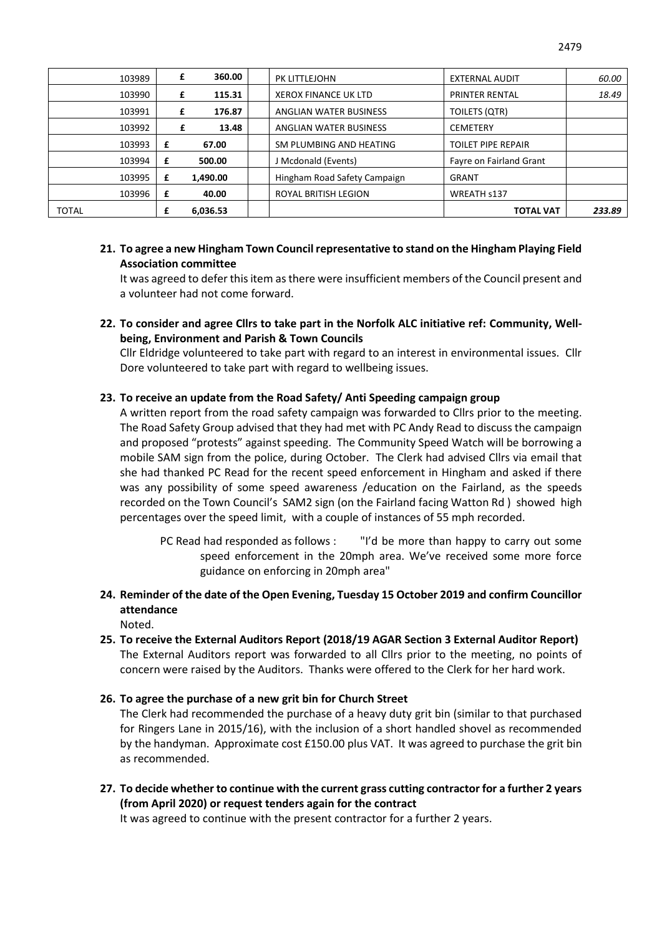| 103989       |   | 360.00<br>£ | PK LITTLEJOHN                | <b>EXTERNAL AUDIT</b>     | 60.00  |
|--------------|---|-------------|------------------------------|---------------------------|--------|
| 103990       |   | 115.31<br>£ | <b>XEROX FINANCE UK LTD</b>  | <b>PRINTER RENTAL</b>     | 18.49  |
| 103991       |   | 176.87<br>£ | ANGLIAN WATER BUSINESS       | TOILETS (QTR)             |        |
| 103992       |   | £<br>13.48  | ANGLIAN WATER BUSINESS       | <b>CEMETERY</b>           |        |
| 103993       | £ | 67.00       | SM PLUMBING AND HEATING      | <b>TOILET PIPE REPAIR</b> |        |
| 103994       | £ | 500.00      | J Mcdonald (Events)          | Fayre on Fairland Grant   |        |
| 103995       | £ | 1,490.00    | Hingham Road Safety Campaign | <b>GRANT</b>              |        |
| 103996       | £ | 40.00       | <b>ROYAL BRITISH LEGION</b>  | WREATH s137               |        |
| <b>TOTAL</b> |   | 6,036.53    |                              | <b>TOTAL VAT</b>          | 233.89 |

#### **21. To agree a new Hingham Town Council representative to stand on the Hingham Playing Field Association committee**

It was agreed to defer this item as there were insufficient members of the Council present and a volunteer had not come forward.

**22. To consider and agree Cllrs to take part in the Norfolk ALC initiative ref: Community, Wellbeing, Environment and Parish & Town Councils**

Cllr Eldridge volunteered to take part with regard to an interest in environmental issues. Cllr Dore volunteered to take part with regard to wellbeing issues.

#### **23. To receive an update from the Road Safety/ Anti Speeding campaign group**

A written report from the road safety campaign was forwarded to Cllrs prior to the meeting. The Road Safety Group advised that they had met with PC Andy Read to discuss the campaign and proposed "protests" against speeding. The Community Speed Watch will be borrowing a mobile SAM sign from the police, during October. The Clerk had advised Cllrs via email that she had thanked PC Read for the recent speed enforcement in Hingham and asked if there was any possibility of some speed awareness /education on the Fairland, as the speeds recorded on the Town Council's SAM2 sign (on the Fairland facing Watton Rd ) showed high percentages over the speed limit, with a couple of instances of 55 mph recorded.

PC Read had responded as follows : "I'd be more than happy to carry out some speed enforcement in the 20mph area. We've received some more force guidance on enforcing in 20mph area"

**24. Reminder of the date of the Open Evening, Tuesday 15 October 2019 and confirm Councillor attendance**

Noted.

**25. To receive the External Auditors Report (2018/19 AGAR Section 3 External Auditor Report)** The External Auditors report was forwarded to all Cllrs prior to the meeting, no points of concern were raised by the Auditors. Thanks were offered to the Clerk for her hard work.

#### **26. To agree the purchase of a new grit bin for Church Street**

The Clerk had recommended the purchase of a heavy duty grit bin (similar to that purchased for Ringers Lane in 2015/16), with the inclusion of a short handled shovel as recommended by the handyman. Approximate cost £150.00 plus VAT. It was agreed to purchase the grit bin as recommended.

**27. To decide whether to continue with the current grass cutting contractor for a further 2 years (from April 2020) or request tenders again for the contract**

It was agreed to continue with the present contractor for a further 2 years.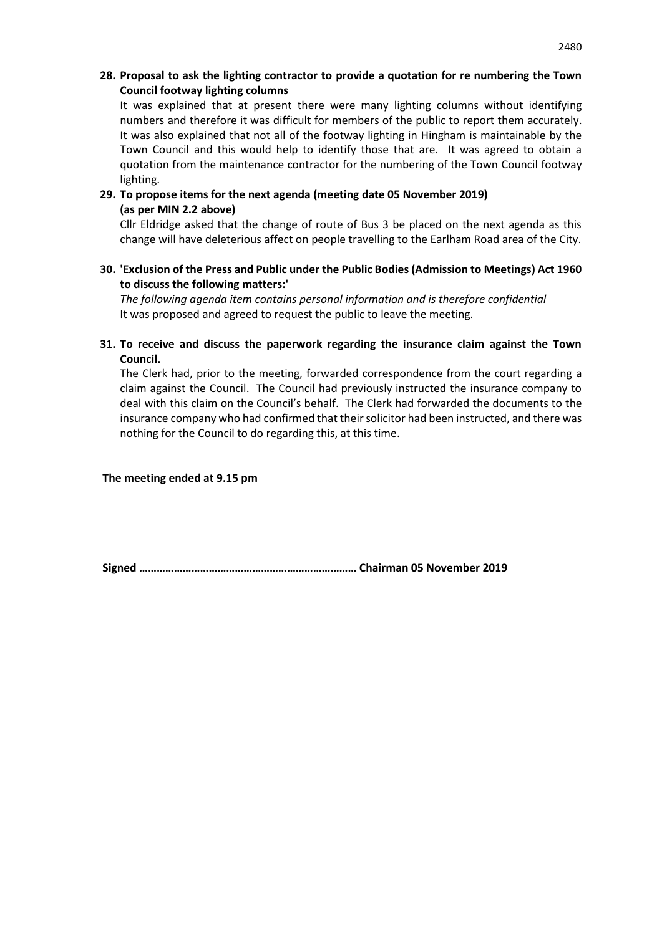#### **28. Proposal to ask the lighting contractor to provide a quotation for re numbering the Town Council footway lighting columns**

It was explained that at present there were many lighting columns without identifying numbers and therefore it was difficult for members of the public to report them accurately. It was also explained that not all of the footway lighting in Hingham is maintainable by the Town Council and this would help to identify those that are. It was agreed to obtain a quotation from the maintenance contractor for the numbering of the Town Council footway lighting.

# **29. To propose items for the next agenda (meeting date 05 November 2019) (as per MIN 2.2 above)**

Cllr Eldridge asked that the change of route of Bus 3 be placed on the next agenda as this change will have deleterious affect on people travelling to the Earlham Road area of the City.

#### **30. 'Exclusion of the Press and Public under the Public Bodies (Admission to Meetings) Act 1960 to discuss the following matters:'**

*The following agenda item contains personal information and is therefore confidential*  It was proposed and agreed to request the public to leave the meeting.

# **31. To receive and discuss the paperwork regarding the insurance claim against the Town Council.**

The Clerk had, prior to the meeting, forwarded correspondence from the court regarding a claim against the Council. The Council had previously instructed the insurance company to deal with this claim on the Council's behalf. The Clerk had forwarded the documents to the insurance company who had confirmed that their solicitor had been instructed, and there was nothing for the Council to do regarding this, at this time.

**The meeting ended at 9.15 pm** 

**Signed ………………………………………………………………… Chairman 05 November 2019**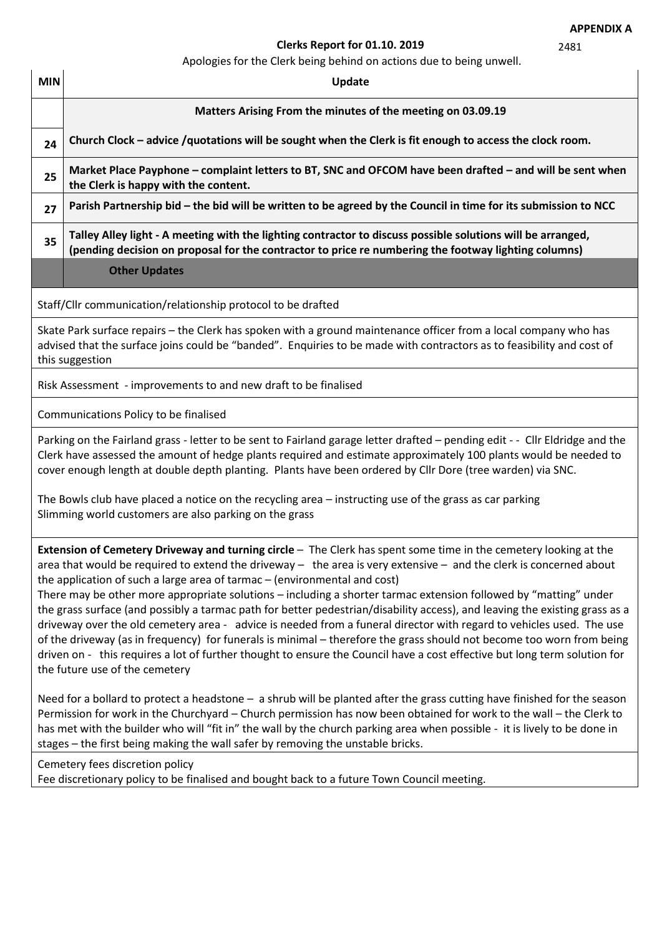2481

# **Clerks Report for 01.10. 2019**

Apologies for the Clerk being behind on actions due to being unwell.

| <b>MIN</b>                                                                                                                                                                                                                                                                                                                                                                                                                                                                                                                                                                                                                                                                                                                                                                                                                                                                                                                                                                                 | Update                                                                                                                                                                                                                                                                                                                                                                                                                                                          |  |  |  |  |  |  |
|--------------------------------------------------------------------------------------------------------------------------------------------------------------------------------------------------------------------------------------------------------------------------------------------------------------------------------------------------------------------------------------------------------------------------------------------------------------------------------------------------------------------------------------------------------------------------------------------------------------------------------------------------------------------------------------------------------------------------------------------------------------------------------------------------------------------------------------------------------------------------------------------------------------------------------------------------------------------------------------------|-----------------------------------------------------------------------------------------------------------------------------------------------------------------------------------------------------------------------------------------------------------------------------------------------------------------------------------------------------------------------------------------------------------------------------------------------------------------|--|--|--|--|--|--|
|                                                                                                                                                                                                                                                                                                                                                                                                                                                                                                                                                                                                                                                                                                                                                                                                                                                                                                                                                                                            | Matters Arising From the minutes of the meeting on 03.09.19                                                                                                                                                                                                                                                                                                                                                                                                     |  |  |  |  |  |  |
| 24                                                                                                                                                                                                                                                                                                                                                                                                                                                                                                                                                                                                                                                                                                                                                                                                                                                                                                                                                                                         | Church Clock - advice /quotations will be sought when the Clerk is fit enough to access the clock room.                                                                                                                                                                                                                                                                                                                                                         |  |  |  |  |  |  |
| 25                                                                                                                                                                                                                                                                                                                                                                                                                                                                                                                                                                                                                                                                                                                                                                                                                                                                                                                                                                                         | Market Place Payphone – complaint letters to BT, SNC and OFCOM have been drafted – and will be sent when<br>the Clerk is happy with the content.                                                                                                                                                                                                                                                                                                                |  |  |  |  |  |  |
| 27                                                                                                                                                                                                                                                                                                                                                                                                                                                                                                                                                                                                                                                                                                                                                                                                                                                                                                                                                                                         | Parish Partnership bid - the bid will be written to be agreed by the Council in time for its submission to NCC                                                                                                                                                                                                                                                                                                                                                  |  |  |  |  |  |  |
| 35                                                                                                                                                                                                                                                                                                                                                                                                                                                                                                                                                                                                                                                                                                                                                                                                                                                                                                                                                                                         | Talley Alley light - A meeting with the lighting contractor to discuss possible solutions will be arranged,<br>(pending decision on proposal for the contractor to price re numbering the footway lighting columns)                                                                                                                                                                                                                                             |  |  |  |  |  |  |
|                                                                                                                                                                                                                                                                                                                                                                                                                                                                                                                                                                                                                                                                                                                                                                                                                                                                                                                                                                                            | <b>Other Updates</b>                                                                                                                                                                                                                                                                                                                                                                                                                                            |  |  |  |  |  |  |
|                                                                                                                                                                                                                                                                                                                                                                                                                                                                                                                                                                                                                                                                                                                                                                                                                                                                                                                                                                                            | Staff/Cllr communication/relationship protocol to be drafted                                                                                                                                                                                                                                                                                                                                                                                                    |  |  |  |  |  |  |
|                                                                                                                                                                                                                                                                                                                                                                                                                                                                                                                                                                                                                                                                                                                                                                                                                                                                                                                                                                                            | Skate Park surface repairs - the Clerk has spoken with a ground maintenance officer from a local company who has<br>advised that the surface joins could be "banded". Enquiries to be made with contractors as to feasibility and cost of<br>this suggestion                                                                                                                                                                                                    |  |  |  |  |  |  |
|                                                                                                                                                                                                                                                                                                                                                                                                                                                                                                                                                                                                                                                                                                                                                                                                                                                                                                                                                                                            | Risk Assessment - improvements to and new draft to be finalised                                                                                                                                                                                                                                                                                                                                                                                                 |  |  |  |  |  |  |
|                                                                                                                                                                                                                                                                                                                                                                                                                                                                                                                                                                                                                                                                                                                                                                                                                                                                                                                                                                                            | Communications Policy to be finalised                                                                                                                                                                                                                                                                                                                                                                                                                           |  |  |  |  |  |  |
|                                                                                                                                                                                                                                                                                                                                                                                                                                                                                                                                                                                                                                                                                                                                                                                                                                                                                                                                                                                            | Parking on the Fairland grass - letter to be sent to Fairland garage letter drafted - pending edit - - Cllr Eldridge and the<br>Clerk have assessed the amount of hedge plants required and estimate approximately 100 plants would be needed to<br>cover enough length at double depth planting. Plants have been ordered by Cllr Dore (tree warden) via SNC.                                                                                                  |  |  |  |  |  |  |
|                                                                                                                                                                                                                                                                                                                                                                                                                                                                                                                                                                                                                                                                                                                                                                                                                                                                                                                                                                                            | The Bowls club have placed a notice on the recycling area - instructing use of the grass as car parking<br>Slimming world customers are also parking on the grass                                                                                                                                                                                                                                                                                               |  |  |  |  |  |  |
| Extension of Cemetery Driveway and turning circle - The Clerk has spent some time in the cemetery looking at the<br>area that would be required to extend the driveway $-$ the area is very extensive $-$ and the clerk is concerned about<br>the application of such a large area of tarmac - (environmental and cost)<br>There may be other more appropriate solutions - including a shorter tarmac extension followed by "matting" under<br>the grass surface (and possibly a tarmac path for better pedestrian/disability access), and leaving the existing grass as a<br>driveway over the old cemetery area - advice is needed from a funeral director with regard to vehicles used. The use<br>of the driveway (as in frequency) for funerals is minimal - therefore the grass should not become too worn from being<br>driven on - this requires a lot of further thought to ensure the Council have a cost effective but long term solution for<br>the future use of the cemetery |                                                                                                                                                                                                                                                                                                                                                                                                                                                                 |  |  |  |  |  |  |
|                                                                                                                                                                                                                                                                                                                                                                                                                                                                                                                                                                                                                                                                                                                                                                                                                                                                                                                                                                                            | Need for a bollard to protect a headstone - a shrub will be planted after the grass cutting have finished for the season<br>Permission for work in the Churchyard - Church permission has now been obtained for work to the wall - the Clerk to<br>has met with the builder who will "fit in" the wall by the church parking area when possible - it is lively to be done in<br>stages - the first being making the wall safer by removing the unstable bricks. |  |  |  |  |  |  |
|                                                                                                                                                                                                                                                                                                                                                                                                                                                                                                                                                                                                                                                                                                                                                                                                                                                                                                                                                                                            | Cemetery fees discretion policy<br>Fee discretionary policy to be finalised and bought back to a future Town Council meeting.                                                                                                                                                                                                                                                                                                                                   |  |  |  |  |  |  |